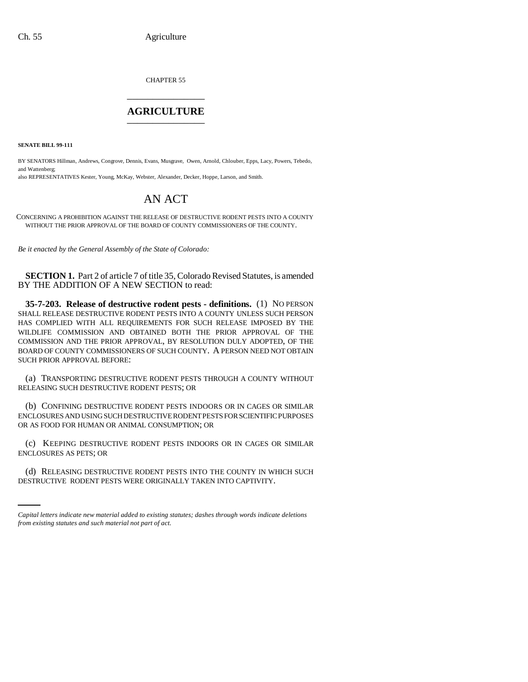CHAPTER 55 \_\_\_\_\_\_\_\_\_\_\_\_\_\_\_

## **AGRICULTURE** \_\_\_\_\_\_\_\_\_\_\_\_\_\_\_

**SENATE BILL 99-111** 

BY SENATORS Hillman, Andrews, Congrove, Dennis, Evans, Musgrave, Owen, Arnold, Chlouber, Epps, Lacy, Powers, Tebedo, and Wattenberg;

also REPRESENTATIVES Kester, Young, McKay, Webster, Alexander, Decker, Hoppe, Larson, and Smith.

## AN ACT

CONCERNING A PROHIBITION AGAINST THE RELEASE OF DESTRUCTIVE RODENT PESTS INTO A COUNTY WITHOUT THE PRIOR APPROVAL OF THE BOARD OF COUNTY COMMISSIONERS OF THE COUNTY.

*Be it enacted by the General Assembly of the State of Colorado:*

**SECTION 1.** Part 2 of article 7 of title 35, Colorado Revised Statutes, is amended BY THE ADDITION OF A NEW SECTION to read:

**35-7-203. Release of destructive rodent pests - definitions.** (1) NO PERSON SHALL RELEASE DESTRUCTIVE RODENT PESTS INTO A COUNTY UNLESS SUCH PERSON HAS COMPLIED WITH ALL REQUIREMENTS FOR SUCH RELEASE IMPOSED BY THE WILDLIFE COMMISSION AND OBTAINED BOTH THE PRIOR APPROVAL OF THE COMMISSION AND THE PRIOR APPROVAL, BY RESOLUTION DULY ADOPTED, OF THE BOARD OF COUNTY COMMISSIONERS OF SUCH COUNTY. A PERSON NEED NOT OBTAIN SUCH PRIOR APPROVAL BEFORE:

(a) TRANSPORTING DESTRUCTIVE RODENT PESTS THROUGH A COUNTY WITHOUT RELEASING SUCH DESTRUCTIVE RODENT PESTS; OR

(b) CONFINING DESTRUCTIVE RODENT PESTS INDOORS OR IN CAGES OR SIMILAR ENCLOSURES AND USING SUCH DESTRUCTIVE RODENT PESTS FOR SCIENTIFIC PURPOSES OR AS FOOD FOR HUMAN OR ANIMAL CONSUMPTION; OR

(c) KEEPING DESTRUCTIVE RODENT PESTS INDOORS OR IN CAGES OR SIMILAR ENCLOSURES AS PETS; OR

(d) RELEASING DESTRUCTIVE RODENT PESTS INTO THE COUNTY IN WHICH SUCH DESTRUCTIVE RODENT PESTS WERE ORIGINALLY TAKEN INTO CAPTIVITY.

*Capital letters indicate new material added to existing statutes; dashes through words indicate deletions from existing statutes and such material not part of act.*